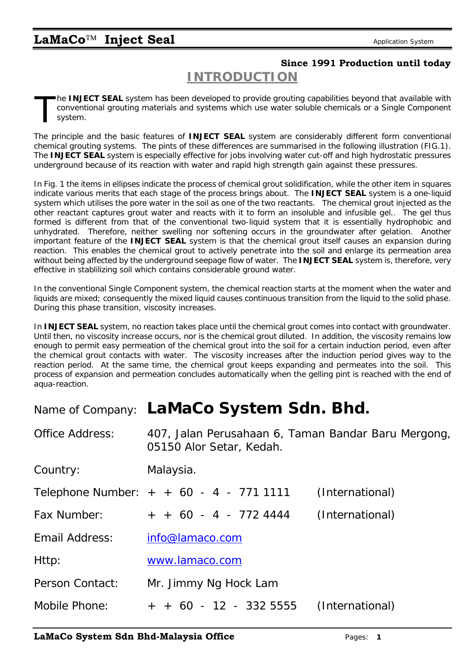#### **Since 1991 Production until today**

## **INTRODUCTION**

he **INJECT SEAL** system has been developed to provide grouting capabilities beyond that available with conventional grouting materials and systems which use water soluble chemicals or a Single Component system. T

The principle and the basic features of **INJECT SEAL** system are considerably different form conventional chemical grouting systems. The pints of these differences are summarised in the following illustration (FIG.1). The **INJECT SEAL** system is especially effective for jobs involving water cut-off and high hydrostatic pressures underground because of its reaction with water and rapid high strength gain against these pressures.

In Fig. 1 the items in ellipses indicate the process of chemical grout solidification, while the other item in squares indicate various merits that each stage of the process brings about. The **INJECT SEAL** system is a one-liquid system which utilises the pore water in the soil as one of the two reactants. The chemical grout injected as the other reactant captures grout water and reacts with it to form an insoluble and infusible gel.. The gel thus formed is different from that of the conventional two-liquid system that it is essentially hydrophobic and unhydrated. Therefore, neither swelling nor softening occurs in the groundwater after gelation. Another important feature of the **INJECT SEAL** system is that the chemical grout itself causes an expansion during reaction. This enables the chemical grout to actively penetrate into the soil and enlarge its permeation area without being affected by the underground seepage flow of water. The **INJECT SEAL** system is, therefore, very effective in stablilizing soil which contains considerable ground water.

In the conventional Single Component system, the chemical reaction starts at the moment when the water and liquids are mixed; consequently the mixed liquid causes continuous transition from the liquid to the solid phase. During this phase transition, viscosity increases.

In **INJECT SEAL** system, no reaction takes place until the chemical grout comes into contact with groundwater. Until then, no viscosity increase occurs, nor is the chemical grout diluted. In addition, the viscosity remains low enough to permit easy permeation of the chemical grout into the soil for a certain induction period, even after the chemical grout contacts with water. The viscosity increases after the induction period gives way to the reaction period. At the same time, the chemical grout keeps expanding and permeates into the soil. This process of expansion and permeation concludes automatically when the gelling pint is reached with the end of aqua-reaction.

# Name of Company: **LaMaCo System Sdn. Bhd.**

| <b>Office Address:</b> | 407, Jalan Perusahaan 6, Taman Bandar Baru Mergong,<br>05150 Alor Setar, Kedah. |                 |
|------------------------|---------------------------------------------------------------------------------|-----------------|
| Country:               | Malaysia.                                                                       |                 |
|                        | Telephone Number: $+$ $+$ 60 $-$ 4 $-$ 771 1111                                 | (International) |
| Fax Number:            | $+ + 60 - 4 - 7724444$                                                          | (International) |
| <b>Email Address:</b>  | info@lamaco.com                                                                 |                 |
| Http:                  | www.lamaco.com                                                                  |                 |
| Person Contact:        | Mr. Jimmy Ng Hock Lam                                                           |                 |
| Mobile Phone:          | $+ + 60 - 12 - 3325555$                                                         | (International) |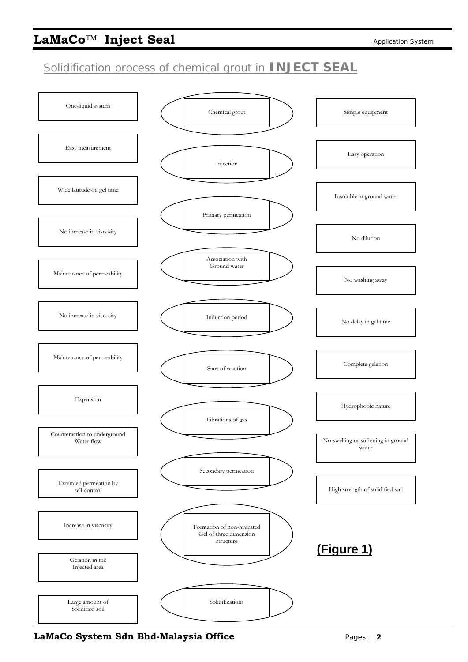### Solidification process of chemical grout in **INJECT SEAL**



**LaMaCo System Sdn Bhd-Malaysia Office** Pages: 2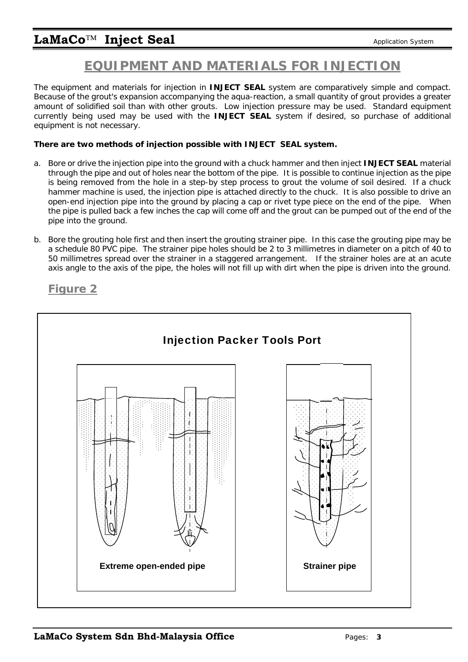### **LaMaCo™ Inject Seal** and a subset of the system application System

#### **EQUIPMENT AND MATERIALS FOR INJECTION**

The equipment and materials for injection in **INJECT SEAL** system are comparatively simple and compact. Because of the grout's expansion accompanying the aqua-reaction, a small quantity of grout provides a greater amount of solidified soil than with other grouts. Low injection pressure may be used. Standard equipment currently being used may be used with the **INJECT SEAL** system if desired, so purchase of additional equipment is not necessary.

#### **There are two methods of injection possible with INJECT SEAL system.**

- a. Bore or drive the injection pipe into the ground with a chuck hammer and then inject **INJECT SEAL** material through the pipe and out of holes near the bottom of the pipe. It is possible to continue injection as the pipe is being removed from the hole in a step-by step process to grout the volume of soil desired. If a chuck hammer machine is used, the injection pipe is attached directly to the chuck. It is also possible to drive an open-end injection pipe into the ground by placing a cap or rivet type piece on the end of the pipe. When the pipe is pulled back a few inches the cap will come off and the grout can be pumped out of the end of the pipe into the ground.
- b. Bore the grouting hole first and then insert the grouting strainer pipe. In this case the grouting pipe may be a schedule 80 PVC pipe. The strainer pipe holes should be 2 to 3 millimetres in diameter on a pitch of 40 to 50 millimetres spread over the strainer in a staggered arrangement. If the strainer holes are at an acute axis angle to the axis of the pipe, the holes will not fill up with dirt when the pipe is driven into the ground.

**Figure 2**

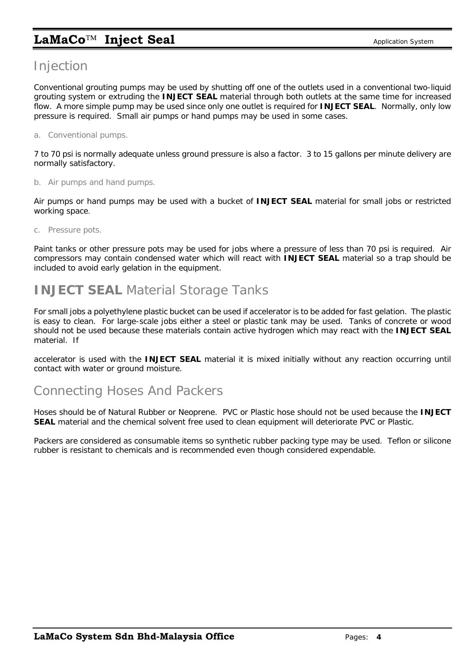#### Injection

Conventional grouting pumps may be used by shutting off one of the outlets used in a conventional two-liquid grouting system or extruding the **INJECT SEAL** material through both outlets at the same time for increased flow. A more simple pump may be used since only one outlet is required for **INJECT SEAL**. Normally, only low pressure is required. Small air pumps or hand pumps may be used in some cases.

a. Conventional pumps.

7 to 70 psi is normally adequate unless ground pressure is also a factor. 3 to 15 gallons per minute delivery are normally satisfactory.

b. Air pumps and hand pumps.

Air pumps or hand pumps may be used with a bucket of **INJECT SEAL** material for small jobs or restricted working space.

c. Pressure pots.

Paint tanks or other pressure pots may be used for jobs where a pressure of less than 70 psi is required. Air compressors may contain condensed water which will react with **INJECT SEAL** material so a trap should be included to avoid early gelation in the equipment.

# **INJECT SEAL Material Storage Tanks**

For small jobs a polyethylene plastic bucket can be used if accelerator is to be added for fast gelation. The plastic is easy to clean. For large-scale jobs either a steel or plastic tank may be used. Tanks of concrete or wood should not be used because these materials contain active hydrogen which may react with the **INJECT SEAL** material. If

accelerator is used with the **INJECT SEAL** material it is mixed initially without any reaction occurring until contact with water or ground moisture.

# Connecting Hoses And Packers

Hoses should be of Natural Rubber or Neoprene. PVC or Plastic hose should not be used because the **INJECT SEAL** material and the chemical solvent free used to clean equipment will deteriorate PVC or Plastic.

Packers are considered as consumable items so synthetic rubber packing type may be used. Teflon or silicone rubber is resistant to chemicals and is recommended even though considered expendable.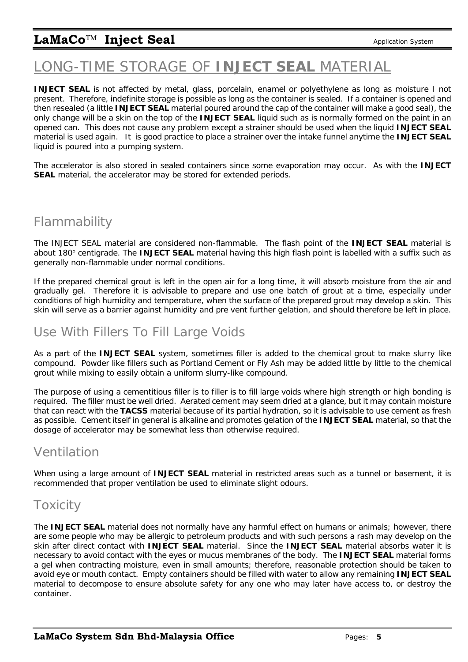# LONG-TIME STORAGE OF **INJECT SEAL** MATERIAL

**INJECT SEAL** is not affected by metal, glass, porcelain, enamel or polyethylene as long as moisture I not present. Therefore, indefinite storage is possible as long as the container is sealed. If a container is opened and then resealed (a little **INJECT SEAL** material poured around the cap of the container will make a good seal), the only change will be a skin on the top of the **INJECT SEAL** liquid such as is normally formed on the paint in an opened can. This does not cause any problem except a strainer should be used when the liquid **INJECT SEAL** material is used again. It is good practice to place a strainer over the intake funnel anytime the **INJECT SEAL** liquid is poured into a pumping system.

The accelerator is also stored in sealed containers since some evaporation may occur. As with the **INJECT SEAL** material, the accelerator may be stored for extended periods.

#### Flammability

The INJECT SEAL material are considered non-flammable. The flash point of the **INJECT SEAL** material is about 180° centigrade. The **INJECT SEAL** material having this high flash point is labelled with a suffix such as generally non-flammable under normal conditions.

If the prepared chemical grout is left in the open air for a long time, it will absorb moisture from the air and gradually gel. Therefore it is advisable to prepare and use one batch of grout at a time, especially under conditions of high humidity and temperature, when the surface of the prepared grout may develop a skin. This skin will serve as a barrier against humidity and pre vent further gelation, and should therefore be left in place.

### Use With Fillers To Fill Large Voids

As a part of the **INJECT SEAL** system, sometimes filler is added to the chemical grout to make slurry like compound. Powder like fillers such as Portland Cement or Fly Ash may be added little by little to the chemical grout while mixing to easily obtain a uniform slurry-like compound.

The purpose of using a cementitious filler is to filler is to fill large voids where high strength or high bonding is required. The filler must be well dried. Aerated cement may seem dried at a glance, but it may contain moisture that can react with the **TACSS** material because of its partial hydration, so it is advisable to use cement as fresh as possible. Cement itself in general is alkaline and promotes gelation of the **INJECT SEAL** material, so that the dosage of accelerator may be somewhat less than otherwise required.

#### Ventilation

When using a large amount of **INJECT SEAL** material in restricted areas such as a tunnel or basement, it is recommended that proper ventilation be used to eliminate slight odours.

# **Toxicity**

The **INJECT SEAL** material does not normally have any harmful effect on humans or animals; however, there are some people who may be allergic to petroleum products and with such persons a rash may develop on the skin after direct contact with **INJECT SEAL** material. Since the **INJECT SEAL** material absorbs water it is necessary to avoid contact with the eyes or mucus membranes of the body. The **INJECT SEAL** material forms a gel when contracting moisture, even in small amounts; therefore, reasonable protection should be taken to avoid eye or mouth contact. Empty containers should be filled with water to allow any remaining **INJECT SEAL** material to decompose to ensure absolute safety for any one who may later have access to, or destroy the container.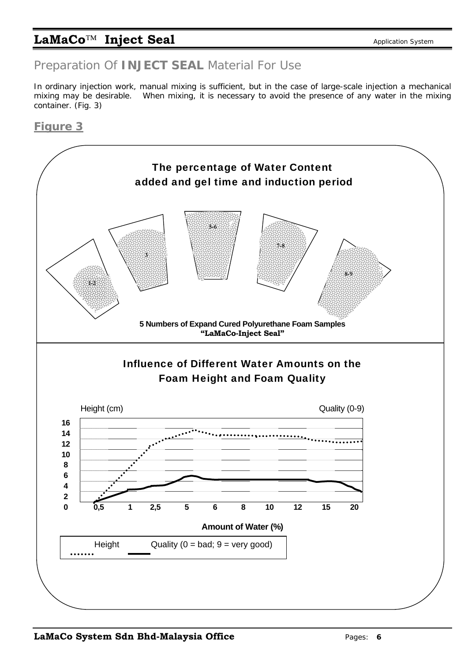### Preparation Of **INJECT SEAL** Material For Use

In ordinary injection work, manual mixing is sufficient, but in the case of large-scale injection a mechanical mixing may be desirable. When mixing, it is necessary to avoid the presence of any water in the mixing container. (Fig. 3)

#### **Figure 3**

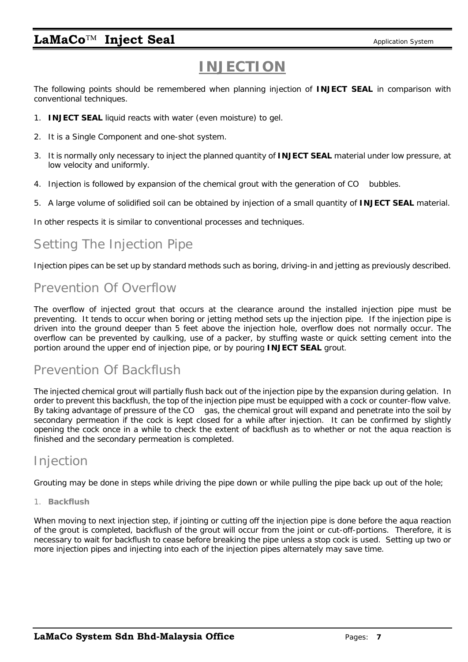# **INJECTION**

The following points should be remembered when planning injection of **INJECT SEAL** in comparison with conventional techniques.

- 1. **INJECT SEAL** liquid reacts with water (even moisture) to gel.
- 2. It is a Single Component and one-shot system.
- 3. It is normally only necessary to inject the planned quantity of **INJECT SEAL** material under low pressure, at low velocity and uniformly.
- 4. Injection is followed by expansion of the chemical grout with the generation of CO bubbles.
- 5. A large volume of solidified soil can be obtained by injection of a small quantity of **INJECT SEAL** material.

In other respects it is similar to conventional processes and techniques.

# Setting The Injection Pipe

Injection pipes can be set up by standard methods such as boring, driving-in and jetting as previously described.

### Prevention Of Overflow

The overflow of injected grout that occurs at the clearance around the installed injection pipe must be preventing. It tends to occur when boring or jetting method sets up the injection pipe. If the injection pipe is driven into the ground deeper than 5 feet above the injection hole, overflow does not normally occur. The overflow can be prevented by caulking, use of a packer, by stuffing waste or quick setting cement into the portion around the upper end of injection pipe, or by pouring **INJECT SEAL** grout.

### Prevention Of Backflush

The injected chemical grout will partially flush back out of the injection pipe by the expansion during gelation. In order to prevent this backflush, the top of the injection pipe must be equipped with a cock or counter-flow valve. By taking advantage of pressure of the CO gas, the chemical grout will expand and penetrate into the soil by secondary permeation if the cock is kept closed for a while after injection. It can be confirmed by slightly opening the cock once in a while to check the extent of backflush as to whether or not the aqua reaction is finished and the secondary permeation is completed.

### Injection

Grouting may be done in steps while driving the pipe down or while pulling the pipe back up out of the hole;

1. **Backflush**

When moving to next injection step, if jointing or cutting off the injection pipe is done before the aqua reaction of the grout is completed, backflush of the grout will occur from the joint or cut-off-portions. Therefore, it is necessary to wait for backflush to cease before breaking the pipe unless a stop cock is used. Setting up two or more injection pipes and injecting into each of the injection pipes alternately may save time.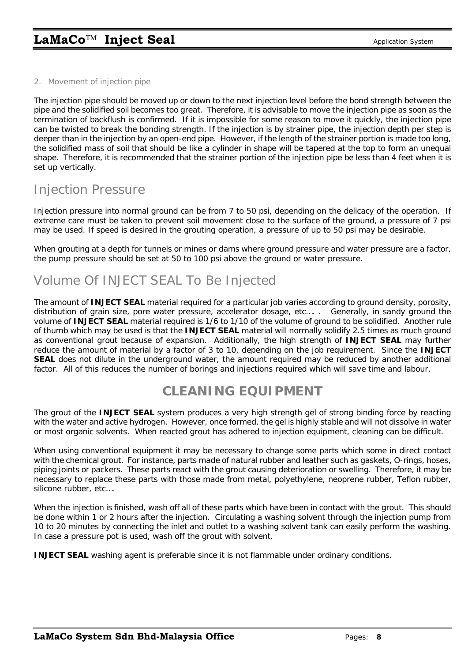#### 2. Movement of injection pipe

The injection pipe should be moved up or down to the next injection level before the bond strength between the pipe and the solidified soil becomes too great. Therefore, it is advisable to move the injection pipe as soon as the termination of backflush is confirmed. If it is impossible for some reason to move it quickly, the injection pipe can be twisted to break the bonding strength. If the injection is by strainer pipe, the injection depth per step is deeper than in the injection by an open-end pipe. However, if the length of the strainer portion is made too long, the solidified mass of soil that should be like a cylinder in shape will be tapered at the top to form an unequal shape. Therefore, it is recommended that the strainer portion of the injection pipe be less than 4 feet when it is set up vertically.

#### Injection Pressure

Injection pressure into normal ground can be from 7 to 50 psi, depending on the delicacy of the operation. If extreme care must be taken to prevent soil movement close to the surface of the ground, a pressure of 7 psi may be used. If speed is desired in the grouting operation, a pressure of up to 50 psi may be desirable.

When grouting at a depth for tunnels or mines or dams where ground pressure and water pressure are a factor, the pump pressure should be set at 50 to 100 psi above the ground or water pressure.

# Volume Of INJECT SEAL To Be Injected

The amount of **INJECT SEAL** material required for a particular job varies according to ground density, porosity, distribution of grain size, pore water pressure, accelerator dosage, etc…. . Generally, in sandy ground the volume of **INJECT SEAL** material required is 1/6 to 1/10 of the volume of ground to be solidified. Another rule of thumb which may be used is that the **INJECT SEAL** material will normally solidify 2.5 times as much ground as conventional grout because of expansion. Additionally, the high strength of **INJECT SEAL** may further reduce the amount of material by a factor of 3 to 10, depending on the job requirement. Since the **INJECT SEAL** does not dilute in the underground water, the amount required may be reduced by another additional factor. All of this reduces the number of borings and injections required which will save time and labour.

# **CLEANING EQUIPMENT**

The grout of the **INJECT SEAL** system produces a very high strength gel of strong binding force by reacting with the water and active hydrogen. However, once formed, the gel is highly stable and will not dissolve in water or most organic solvents. When reacted grout has adhered to injection equipment, cleaning can be difficult.

When using conventional equipment it may be necessary to change some parts which some in direct contact with the chemical grout. For instance, parts made of natural rubber and leather such as gaskets, O-rings, hoses, piping joints or packers. These parts react with the grout causing deterioration or swelling. Therefore, it may be necessary to replace these parts with those made from metal, polyethylene, neoprene rubber, Teflon rubber, silicone rubber, etc….

When the injection is finished, wash off all of these parts which have been in contact with the grout. This should be done within 1 or 2 hours after the injection. Circulating a washing solvent through the injection pump from 10 to 20 minutes by connecting the inlet and outlet to a washing solvent tank can easily perform the washing. In case a pressure pot is used, wash off the grout with solvent.

**INJECT SEAL** washing agent is preferable since it is not flammable under ordinary conditions.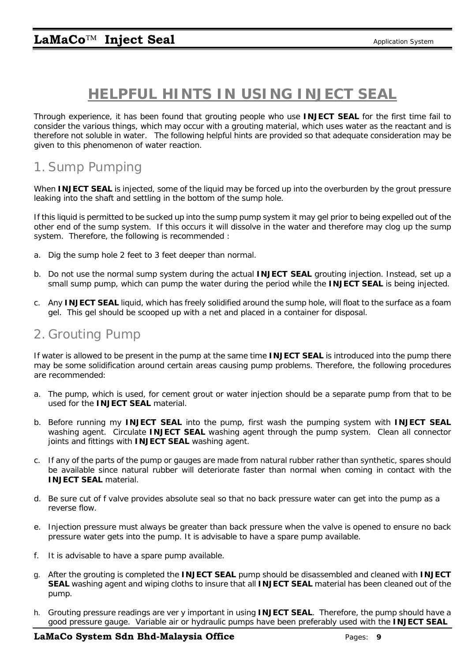# **HELPFUL HINTS IN USING INJECT SEAL**

Through experience, it has been found that grouting people who use **INJECT SEAL** for the first time fail to consider the various things, which may occur with a grouting material, which uses water as the reactant and is therefore not soluble in water. The following helpful hints are provided so that adequate consideration may be given to this phenomenon of water reaction.

# 1.Sump Pumping

When **INJECT SEAL** is injected, some of the liquid may be forced up into the overburden by the grout pressure leaking into the shaft and settling in the bottom of the sump hole.

If this liquid is permitted to be sucked up into the sump pump system it may gel prior to being expelled out of the other end of the sump system. If this occurs it will dissolve in the water and therefore may clog up the sump system. Therefore, the following is recommended :

- a. Dig the sump hole 2 feet to 3 feet deeper than normal.
- b. Do not use the normal sump system during the actual **INJECT SEAL** grouting injection. Instead, set up a small sump pump, which can pump the water during the period while the **INJECT SEAL** is being injected.
- c. Any **INJECT SEAL** liquid, which has freely solidified around the sump hole, will float to the surface as a foam gel. This gel should be scooped up with a net and placed in a container for disposal.

# 2.Grouting Pump

If water is allowed to be present in the pump at the same time **INJECT SEAL** is introduced into the pump there may be some solidification around certain areas causing pump problems. Therefore, the following procedures are recommended:

- a. The pump, which is used, for cement grout or water injection should be a separate pump from that to be used for the **INJECT SEAL** material.
- b. Before running my **INJECT SEAL** into the pump, first wash the pumping system with **INJECT SEAL** washing agent. Circulate **INJECT SEAL** washing agent through the pump system. Clean all connector joints and fittings with **INJECT SEAL** washing agent.
- c. If any of the parts of the pump or gauges are made from natural rubber rather than synthetic, spares should be available since natural rubber will deteriorate faster than normal when coming in contact with the **INJECT SEAL** material.
- d. Be sure cut of f valve provides absolute seal so that no back pressure water can get into the pump as a reverse flow.
- e. Injection pressure must always be greater than back pressure when the valve is opened to ensure no back pressure water gets into the pump. It is advisable to have a spare pump available.
- f. It is advisable to have a spare pump available.
- g. After the grouting is completed the **INJECT SEAL** pump should be disassembled and cleaned with **INJECT SEAL** washing agent and wiping cloths to insure that all **INJECT SEAL** material has been cleaned out of the pump.
- h. Grouting pressure readings are ver y important in using **INJECT SEAL**. Therefore, the pump should have a good pressure gauge. Variable air or hydraulic pumps have been preferably used with the **INJECT SEAL**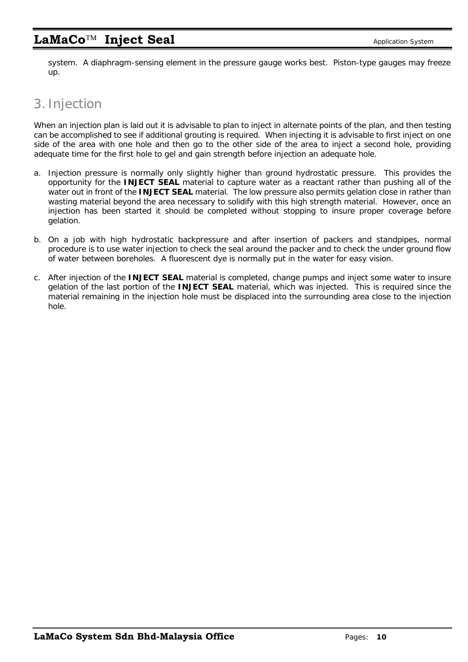system. A diaphragm-sensing element in the pressure gauge works best. Piston-type gauges may freeze up.

# 3. Injection

When an injection plan is laid out it is advisable to plan to inject in alternate points of the plan, and then testing can be accomplished to see if additional grouting is required. When injecting it is advisable to first inject on one side of the area with one hole and then go to the other side of the area to inject a second hole, providing adequate time for the first hole to gel and gain strength before injection an adequate hole.

- a. Injection pressure is normally only slightly higher than ground hydrostatic pressure. This provides the opportunity for the **INJECT SEAL** material to capture water as a reactant rather than pushing all of the water out in front of the **INJECT SEAL** material. The low pressure also permits gelation close in rather than wasting material beyond the area necessary to solidify with this high strength material. However, once an injection has been started it should be completed without stopping to insure proper coverage before gelation.
- b. On a job with high hydrostatic backpressure and after insertion of packers and standpipes, normal procedure is to use water injection to check the seal around the packer and to check the under ground flow of water between boreholes. A fluorescent dye is normally put in the water for easy vision.
- c. After injection of the **INJECT SEAL** material is completed, change pumps and inject some water to insure gelation of the last portion of the **INJECT SEAL** material, which was injected. This is required since the material remaining in the injection hole must be displaced into the surrounding area close to the injection hole.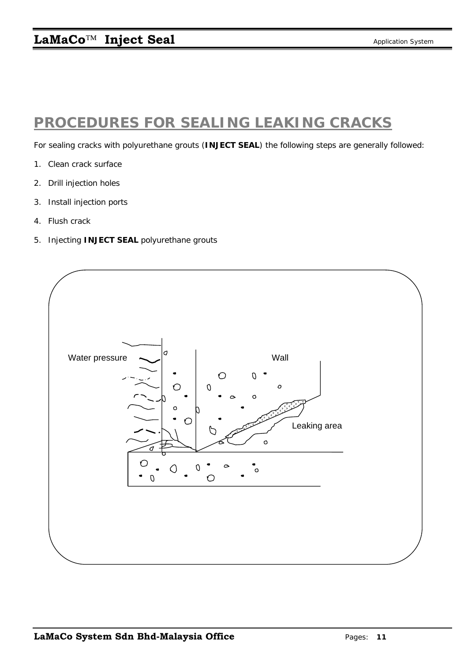# **PROCEDURES FOR SEALING LEAKING CRACKS**

For sealing cracks with polyurethane grouts (**INJECT SEAL**) the following steps are generally followed:

- 1. Clean crack surface
- 2. Drill injection holes
- 3. Install injection ports
- 4. Flush crack
- 5. Injecting **INJECT SEAL** polyurethane grouts

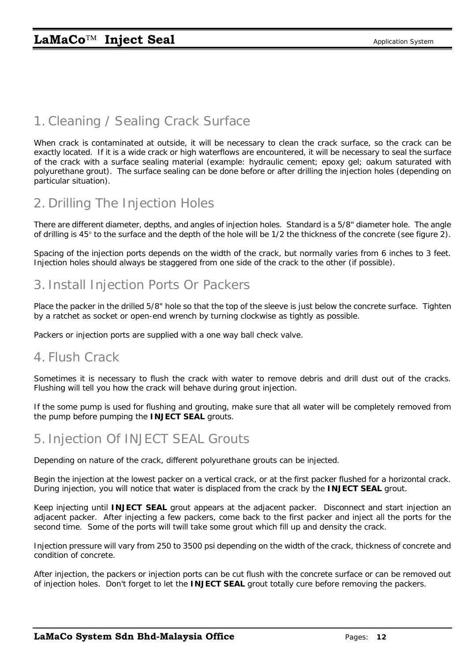# 1.Cleaning / Sealing Crack Surface

When crack is contaminated at outside, it will be necessary to clean the crack surface, so the crack can be exactly located. If it is a wide crack or high waterflows are encountered, it will be necessary to seal the surface of the crack with a surface sealing material (example: hydraulic cement; epoxy gel; oakum saturated with polyurethane grout). The surface sealing can be done before or after drilling the injection holes (depending on particular situation).

# 2.Drilling The Injection Holes

There are different diameter, depths, and angles of injection holes. Standard is a 5/8" diameter hole. The angle of drilling is 45° to the surface and the depth of the hole will be 1/2 the thickness of the concrete (see figure 2).

Spacing of the injection ports depends on the width of the crack, but normally varies from 6 inches to 3 feet. Injection holes should always be staggered from one side of the crack to the other (if possible).

### 3. Install Injection Ports Or Packers

Place the packer in the drilled 5/8" hole so that the top of the sleeve is just below the concrete surface. Tighten by a ratchet as socket or open-end wrench by turning clockwise as tightly as possible.

Packers or injection ports are supplied with a one way ball check valve.

#### 4.Flush Crack

Sometimes it is necessary to flush the crack with water to remove debris and drill dust out of the cracks. Flushing will tell you how the crack will behave during grout injection.

If the some pump is used for flushing and grouting, make sure that all water will be completely removed from the pump before pumping the **INJECT SEAL** grouts.

# 5. Injection Of INJECT SEAL Grouts

Depending on nature of the crack, different polyurethane grouts can be injected.

Begin the injection at the lowest packer on a vertical crack, or at the first packer flushed for a horizontal crack. During injection, you will notice that water is displaced from the crack by the **INJECT SEAL** grout.

Keep injecting until **INJECT SEAL** grout appears at the adjacent packer. Disconnect and start injection an adjacent packer. After injecting a few packers, come back to the first packer and inject all the ports for the second time. Some of the ports will twill take some grout which fill up and density the crack.

Injection pressure will vary from 250 to 3500 psi depending on the width of the crack, thickness of concrete and condition of concrete.

After injection, the packers or injection ports can be cut flush with the concrete surface or can be removed out of injection holes. Don't forget to let the **INJECT SEAL** grout totally cure before removing the packers.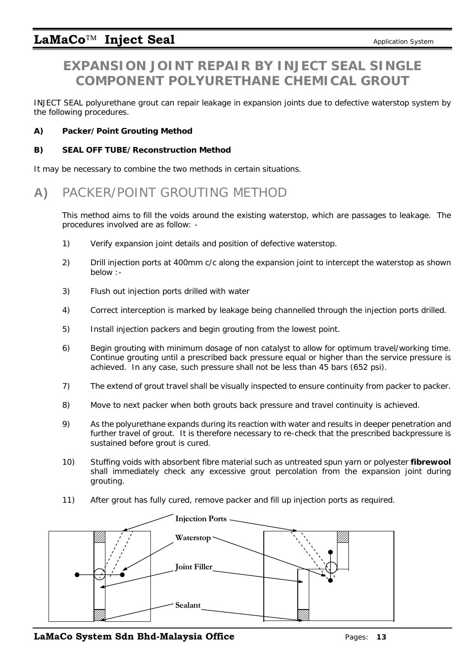# **EXPANSION JOINT REPAIR BY INJECT SEAL SINGLE COMPONENT POLYURETHANE CHEMICAL GROUT**

INJECT SEAL polyurethane grout can repair leakage in expansion joints due to defective waterstop system by the following procedures.

#### **A) Packer/Point Grouting Method**

#### **B) SEAL OFF TUBE/Reconstruction Method**

It may be necessary to combine the two methods in certain situations.

# A) PACKER/POINT GROUTING METHOD

This method aims to fill the voids around the existing waterstop, which are passages to leakage. The procedures involved are as follow: -

- 1) Verify expansion joint details and position of defective waterstop.
- 2) Drill injection ports at 400mm c/c along the expansion joint to intercept the waterstop as shown below :-
- 3) Flush out injection ports drilled with water
- 4) Correct interception is marked by leakage being channelled through the injection ports drilled.
- 5) Install injection packers and begin grouting from the lowest point.
- 6) Begin grouting with minimum dosage of non catalyst to allow for optimum travel/working time. Continue grouting until a prescribed back pressure equal or higher than the service pressure is achieved. In any case, such pressure shall not be less than 45 bars (652 psi).
- 7) The extend of grout travel shall be visually inspected to ensure continuity from packer to packer.
- 8) Move to next packer when both grouts back pressure and travel continuity is achieved.
- 9) As the polyurethane expands during its reaction with water and results in deeper penetration and further travel of grout. It is therefore necessary to re-check that the prescribed backpressure is sustained before grout is cured.
- 10) Stuffing voids with absorbent fibre material such as untreated spun yarn or polyester **fibrewool** shall immediately check any excessive grout percolation from the expansion joint during grouting.
- 11) After grout has fully cured, remove packer and fill up injection ports as required.